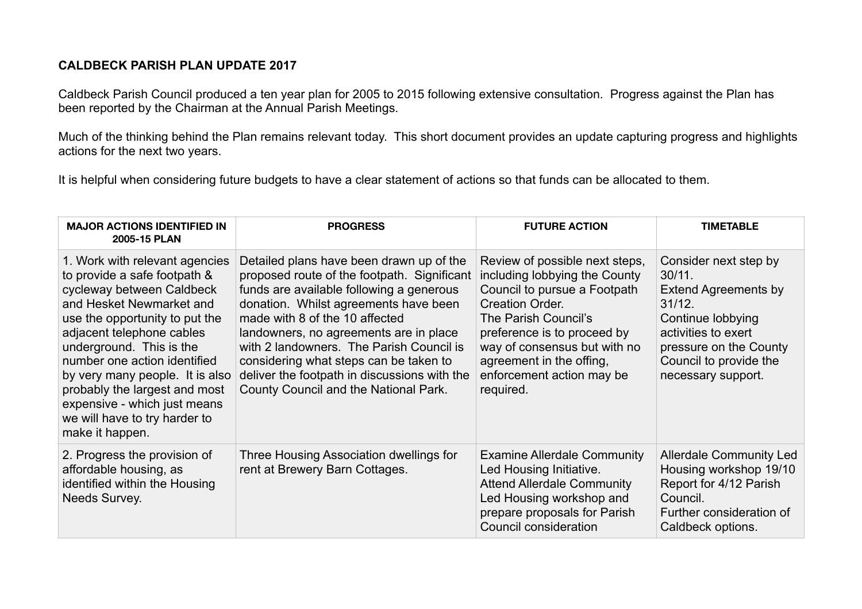## **CALDBECK PARISH PLAN UPDATE 2017**

Caldbeck Parish Council produced a ten year plan for 2005 to 2015 following extensive consultation. Progress against the Plan has been reported by the Chairman at the Annual Parish Meetings.

Much of the thinking behind the Plan remains relevant today. This short document provides an update capturing progress and highlights actions for the next two years.

It is helpful when considering future budgets to have a clear statement of actions so that funds can be allocated to them.

| <b>MAJOR ACTIONS IDENTIFIED IN</b><br>2005-15 PLAN                                                                                                                                                                                                                                                                                                                                                         | <b>PROGRESS</b>                                                                                                                                                                                                                                                                                                                                                                                                                         | <b>FUTURE ACTION</b>                                                                                                                                                                                                                                                                   | <b>TIMETABLE</b>                                                                                                                                                                                  |
|------------------------------------------------------------------------------------------------------------------------------------------------------------------------------------------------------------------------------------------------------------------------------------------------------------------------------------------------------------------------------------------------------------|-----------------------------------------------------------------------------------------------------------------------------------------------------------------------------------------------------------------------------------------------------------------------------------------------------------------------------------------------------------------------------------------------------------------------------------------|----------------------------------------------------------------------------------------------------------------------------------------------------------------------------------------------------------------------------------------------------------------------------------------|---------------------------------------------------------------------------------------------------------------------------------------------------------------------------------------------------|
| 1. Work with relevant agencies<br>to provide a safe footpath &<br>cycleway between Caldbeck<br>and Hesket Newmarket and<br>use the opportunity to put the<br>adjacent telephone cables<br>underground. This is the<br>number one action identified<br>by very many people. It is also<br>probably the largest and most<br>expensive - which just means<br>we will have to try harder to<br>make it happen. | Detailed plans have been drawn up of the<br>proposed route of the footpath. Significant<br>funds are available following a generous<br>donation. Whilst agreements have been<br>made with 8 of the 10 affected<br>landowners, no agreements are in place<br>with 2 landowners. The Parish Council is<br>considering what steps can be taken to<br>deliver the footpath in discussions with the<br>County Council and the National Park. | Review of possible next steps,<br>including lobbying the County<br>Council to pursue a Footpath<br><b>Creation Order.</b><br>The Parish Council's<br>preference is to proceed by<br>way of consensus but with no<br>agreement in the offing,<br>enforcement action may be<br>required. | Consider next step by<br>$30/11$ .<br><b>Extend Agreements by</b><br>31/12.<br>Continue lobbying<br>activities to exert<br>pressure on the County<br>Council to provide the<br>necessary support. |
| 2. Progress the provision of<br>affordable housing, as<br>identified within the Housing<br>Needs Survey.                                                                                                                                                                                                                                                                                                   | Three Housing Association dwellings for<br>rent at Brewery Barn Cottages.                                                                                                                                                                                                                                                                                                                                                               | <b>Examine Allerdale Community</b><br>Led Housing Initiative.<br><b>Attend Allerdale Community</b><br>Led Housing workshop and<br>prepare proposals for Parish<br>Council consideration                                                                                                | <b>Allerdale Community Led</b><br>Housing workshop 19/10<br>Report for 4/12 Parish<br>Council.<br>Further consideration of<br>Caldbeck options.                                                   |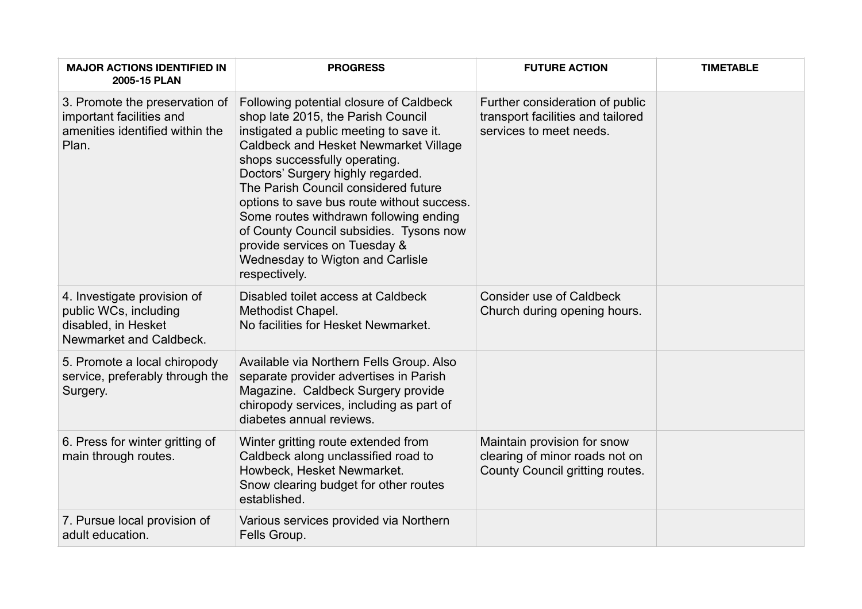| <b>MAJOR ACTIONS IDENTIFIED IN</b><br>2005-15 PLAN                                                     | <b>PROGRESS</b>                                                                                                                                                                                                                                                                                                                                                                                                                                                                                          | <b>FUTURE ACTION</b>                                                                             | <b>TIMETABLE</b> |
|--------------------------------------------------------------------------------------------------------|----------------------------------------------------------------------------------------------------------------------------------------------------------------------------------------------------------------------------------------------------------------------------------------------------------------------------------------------------------------------------------------------------------------------------------------------------------------------------------------------------------|--------------------------------------------------------------------------------------------------|------------------|
| 3. Promote the preservation of<br>important facilities and<br>amenities identified within the<br>Plan. | Following potential closure of Caldbeck<br>shop late 2015, the Parish Council<br>instigated a public meeting to save it.<br>Caldbeck and Hesket Newmarket Village<br>shops successfully operating.<br>Doctors' Surgery highly regarded.<br>The Parish Council considered future<br>options to save bus route without success.<br>Some routes withdrawn following ending<br>of County Council subsidies. Tysons now<br>provide services on Tuesday &<br>Wednesday to Wigton and Carlisle<br>respectively. | Further consideration of public<br>transport facilities and tailored<br>services to meet needs.  |                  |
| 4. Investigate provision of<br>public WCs, including<br>disabled, in Hesket<br>Newmarket and Caldbeck. | Disabled toilet access at Caldbeck<br>Methodist Chapel.<br>No facilities for Hesket Newmarket.                                                                                                                                                                                                                                                                                                                                                                                                           | <b>Consider use of Caldbeck</b><br>Church during opening hours.                                  |                  |
| 5. Promote a local chiropody<br>service, preferably through the<br>Surgery.                            | Available via Northern Fells Group. Also<br>separate provider advertises in Parish<br>Magazine. Caldbeck Surgery provide<br>chiropody services, including as part of<br>diabetes annual reviews.                                                                                                                                                                                                                                                                                                         |                                                                                                  |                  |
| 6. Press for winter gritting of<br>main through routes.                                                | Winter gritting route extended from<br>Caldbeck along unclassified road to<br>Howbeck, Hesket Newmarket.<br>Snow clearing budget for other routes<br>established.                                                                                                                                                                                                                                                                                                                                        | Maintain provision for snow<br>clearing of minor roads not on<br>County Council gritting routes. |                  |
| 7. Pursue local provision of<br>adult education.                                                       | Various services provided via Northern<br>Fells Group.                                                                                                                                                                                                                                                                                                                                                                                                                                                   |                                                                                                  |                  |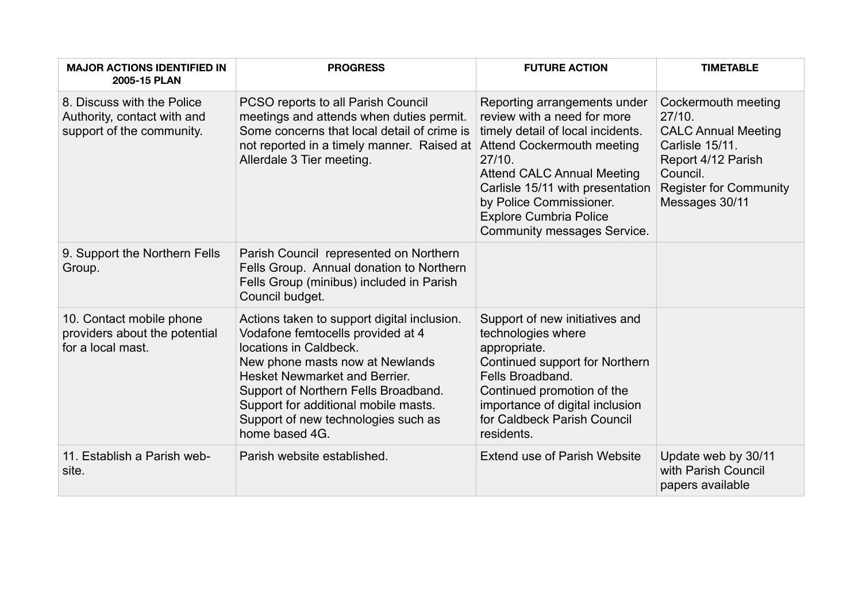| <b>MAJOR ACTIONS IDENTIFIED IN</b><br>2005-15 PLAN                                     | <b>PROGRESS</b>                                                                                                                                                                                                                                                                                                                | <b>FUTURE ACTION</b>                                                                                                                                                                                                                                                                                         | <b>TIMETABLE</b>                                                                                                                                                    |
|----------------------------------------------------------------------------------------|--------------------------------------------------------------------------------------------------------------------------------------------------------------------------------------------------------------------------------------------------------------------------------------------------------------------------------|--------------------------------------------------------------------------------------------------------------------------------------------------------------------------------------------------------------------------------------------------------------------------------------------------------------|---------------------------------------------------------------------------------------------------------------------------------------------------------------------|
| 8. Discuss with the Police<br>Authority, contact with and<br>support of the community. | PCSO reports to all Parish Council<br>meetings and attends when duties permit.<br>Some concerns that local detail of crime is<br>not reported in a timely manner. Raised at<br>Allerdale 3 Tier meeting.                                                                                                                       | Reporting arrangements under<br>review with a need for more<br>timely detail of local incidents.<br>Attend Cockermouth meeting<br>27/10.<br><b>Attend CALC Annual Meeting</b><br>Carlisle 15/11 with presentation<br>by Police Commissioner.<br><b>Explore Cumbria Police</b><br>Community messages Service. | Cockermouth meeting<br>27/10.<br><b>CALC Annual Meeting</b><br>Carlisle 15/11.<br>Report 4/12 Parish<br>Council.<br><b>Register for Community</b><br>Messages 30/11 |
| 9. Support the Northern Fells<br>Group.                                                | Parish Council represented on Northern<br>Fells Group. Annual donation to Northern<br>Fells Group (minibus) included in Parish<br>Council budget.                                                                                                                                                                              |                                                                                                                                                                                                                                                                                                              |                                                                                                                                                                     |
| 10. Contact mobile phone<br>providers about the potential<br>for a local mast.         | Actions taken to support digital inclusion.<br>Vodafone femtocells provided at 4<br>locations in Caldbeck.<br>New phone masts now at Newlands<br><b>Hesket Newmarket and Berrier.</b><br>Support of Northern Fells Broadband.<br>Support for additional mobile masts.<br>Support of new technologies such as<br>home based 4G. | Support of new initiatives and<br>technologies where<br>appropriate.<br>Continued support for Northern<br>Fells Broadband.<br>Continued promotion of the<br>importance of digital inclusion<br>for Caldbeck Parish Council<br>residents.                                                                     |                                                                                                                                                                     |
| 11. Establish a Parish web-<br>site.                                                   | Parish website established.                                                                                                                                                                                                                                                                                                    | <b>Extend use of Parish Website</b>                                                                                                                                                                                                                                                                          | Update web by 30/11<br>with Parish Council<br>papers available                                                                                                      |